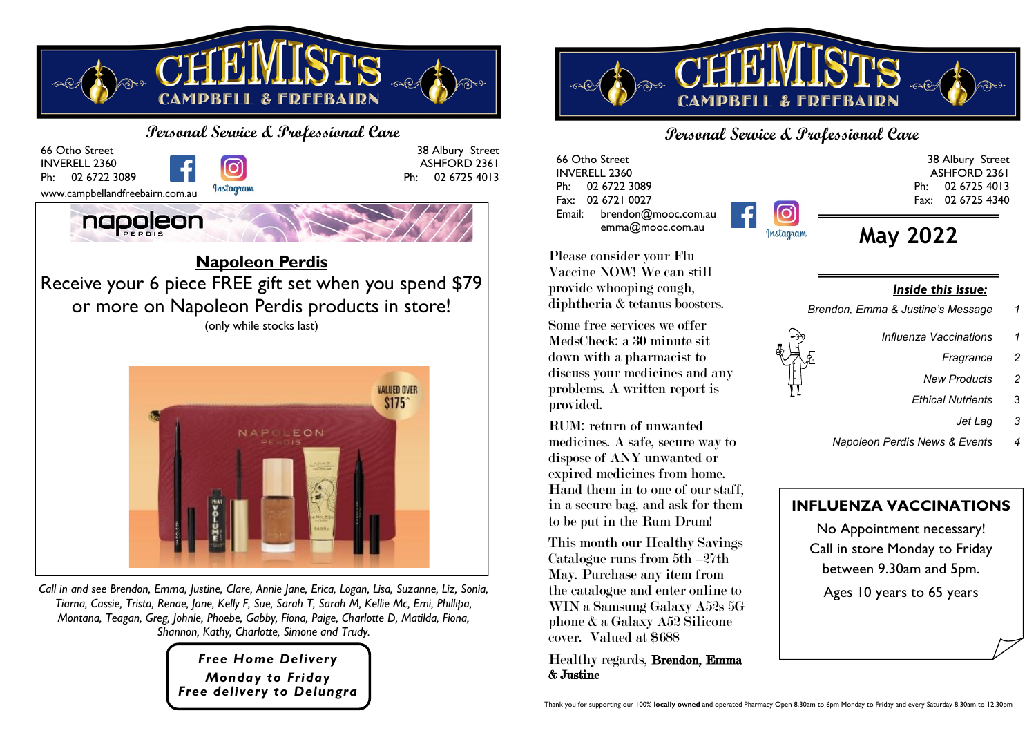



*Call in and see Brendon, Emma, Justine, Clare, Annie Jane, Erica, Logan, Lisa, Suzanne, Liz, Sonia, Tiarna, Cassie, Trista, Renae, Jane, Kelly F, Sue, Sarah T, Sarah M, Kellie Mc, Emi, Phillipa, Montana, Teagan, Greg, Johnle, Phoebe, Gabby, Fiona, Paige, Charlotte D, Matilda, Fiona, Shannon, Kathy, Charlotte, Simone and Trudy.*

> *Free Home Delivery Monday to Friday Free delivery to Delungra*



## **Personal Service & Professional Care**

66 Otho Street INVERELL 2360 Ph: 02 6722 3089 Fax: 02 6721 0027 Email: brendon@mooc.com.au emma@mooc.com.au

ASHFORD 2361 Ph: 02 6725 4013 Fax: 02 6725 4340 **May 2022** Instagram

Please consider your Flu Vaccine NOW! We can still provide whooping cough, diphtheria & tetanus boosters.

Some free services we offer MedsCheck: a 30 minute sit down with a pharmacist to discuss your medicines and any problems. A written report is provided.

RUM: return of unwanted medicines. A safe, secure way to dispose of ANY unwanted or expired medicines from home. Hand them in to one of our staff, in a secure bag, and ask for them to be put in the Rum Drum!

This month our Healthy Savings Catalogue runs from 5th –27th May. Purchase any item from the catalogue and enter online to WIN a Samsung Galaxy A52s 5G phone & a Galaxy A52 Silicone cover. Valued at \$688

Healthy regards, Brendon, Emma & Justine

*Inside this issue:*

- *Brendon, Emma & Justine's Message 1*
	- *Influenza Vaccinations 1*
		- *Fragrance 2*

38 Albury Street

- *New Products 2*
- *Ethical Nutrients* 3
	- *Jet Lag 3*
- *Napoleon Perdis News & Events 4*

## **INFLUENZA VACCINATIONS**

No Appointment necessary! Call in store Monday to Friday between 9.30am and 5pm. Ages 10 years to 65 years